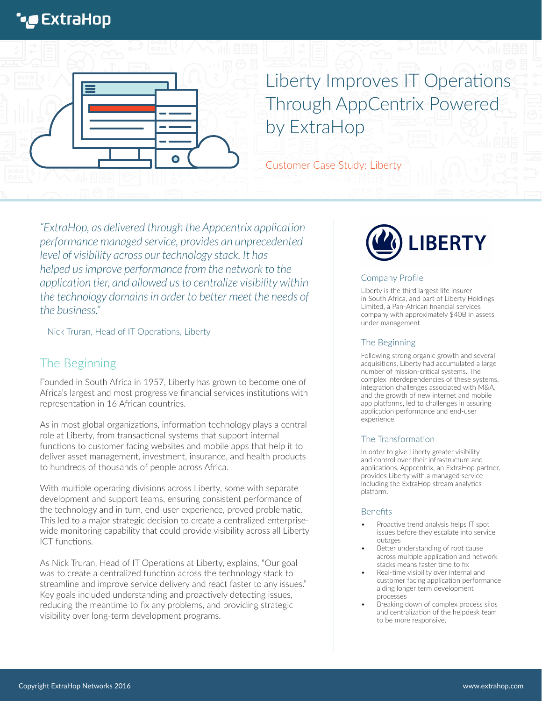# **\*@** ExtraHop



# Liberty Improves IT Operations Through AppCentrix Powered by ExtraHop

Customer Case Study: Liberty

*"ExtraHop, as delivered through the Appcentrix application performance managed service, provides an unprecedented level of visibility across our technology stack. It has helped us improve performance from the network to the application tier, and allowed us to centralize visibility within the technology domains in order to better meet the needs of the business."*

– Nick Truran, Head of IT Operations, Liberty

# The Beginning

Founded in South Africa in 1957, Liberty has grown to become one of Africa's largest and most progressive financial services institutions with representation in 16 African countries.

As in most global organizations, information technology plays a central role at Liberty, from transactional systems that support internal functions to customer facing websites and mobile apps that help it to deliver asset management, investment, insurance, and health products to hundreds of thousands of people across Africa.

With multiple operating divisions across Liberty, some with separate development and support teams, ensuring consistent performance of the technology and in turn, end-user experience, proved problematic. This led to a major strategic decision to create a centralized enterprisewide monitoring capability that could provide visibility across all Liberty ICT functions.

As Nick Truran, Head of IT Operations at Liberty, explains, "Our goal was to create a centralized function across the technology stack to streamline and improve service delivery and react faster to any issues." Key goals included understanding and proactively detecting issues, reducing the meantime to fix any problems, and providing strategic visibility over long-term development programs.



#### Company Profile

Liberty is the third largest life insurer in South Africa, and part of Liberty Holdings Limited, a Pan-African financial services company with approximately \$40B in assets under management.

#### The Beginning

Following strong organic growth and several acquisitions, Liberty had accumulated a large number of mission-critical systems. The complex interdependencies of these systems, integration challenges associated with M&A, and the growth of new internet and mobile app platforms, led to challenges in assuring application performance and end-user experience.

#### The Transformation

In order to give Liberty greater visibility and control over their infrastructure and applications, Appcentrix, an ExtraHop partner, provides Liberty with a managed service including the ExtraHop stream analytics platform.

#### **Benefits**

- Proactive trend analysis helps IT spot issues before they escalate into service outages
- Better understanding of root cause across multiple application and network stacks means faster time to fix
- Real-time visibility over internal and customer facing application performance aiding longer term development processes
- Breaking down of complex process silos and centralization of the helpdesk team to be more responsive.